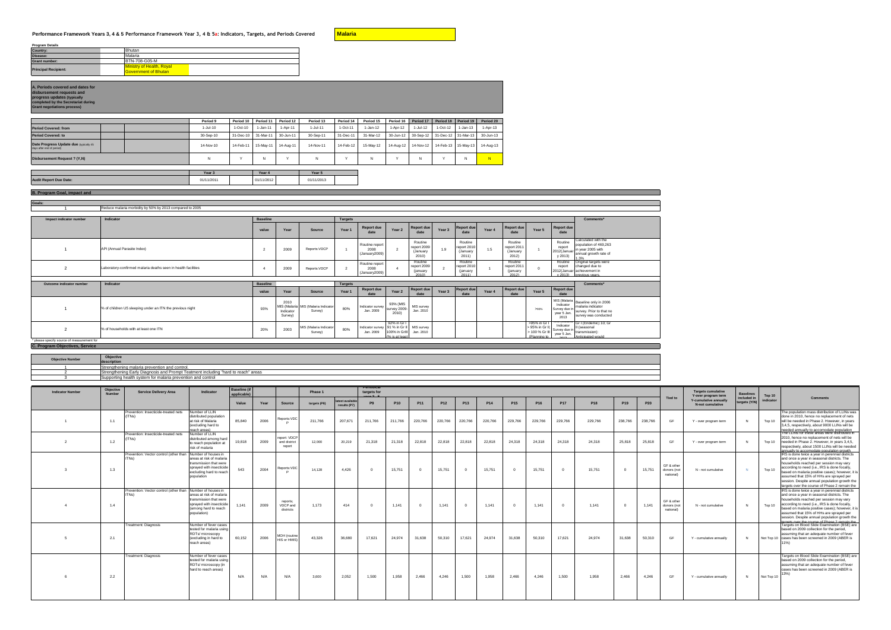## Performance Framework Years 3, 4 & 5 Performance Framework Year 3, 4 & 5a: Indicators, Targets, and Periods Covered**ates** [Malaria

| <b>Program Details</b>      |                                                                 |
|-----------------------------|-----------------------------------------------------------------|
| <b>Country:</b>             | Bhutan                                                          |
| Disease:                    | Malaria                                                         |
| <b>Grant number:</b>        | <b>BTN-708-G05-M</b>                                            |
| <b>Principal Recipient:</b> | <b>Ministry of Health, Royal</b><br><b>Government of Bhutan</b> |

## **A. Periods covered and dates for disbursement requests and progress updates (typically**

**completed by the Secretariat during Grant negotiations process)**

|                                                                     | Period 9   | Period 10  | Period 11  | Period 12 | Period 13  | Period 14 | Period 15  | Period 16 | Period 17 | Period 18 Period 19           |           | Period 20 |
|---------------------------------------------------------------------|------------|------------|------------|-----------|------------|-----------|------------|-----------|-----------|-------------------------------|-----------|-----------|
| <b>Period Covered: from</b>                                         | $1-Jul-10$ | $1-Oct-10$ | 1-Jan-11   | 1-Apr-11  | $1-Jul-11$ | 1-Oct-11  | $1-Jan-12$ | 1-Apr-12  | 1-Jul-12  | $1-Oct-12$                    | 1-Jan-13  | 1-Apr-13  |
| <b>Period Covered: to</b>                                           | 30-Sep-10  | 31-Dec-10  | 31-Mar-11  | 30-Jun-11 | 30-Sep-11  | 31-Dec-11 | 31-Mar-12  | 30-Jun-12 |           | 30-Sep-12 31-Dec-12 31-Mar-13 |           | 30-Jun-13 |
| Date Progress Update due (typically 45<br>days after end of period) | 14-Nov-10  | 14-Feb-11  | 15-May-11  | 14-Aug-11 | 14-Nov-11  | 14-Feb-12 | 15-May-12  | 14-Aug-12 | 14-Nov-12 | 14-Feb-13                     | 15-May-13 | 14-Aug-13 |
| Disbursement Request ? (Y,N)                                        | N          |            | N          |           | N          |           | N          |           | N         | N                             |           |           |
|                                                                     |            |            |            |           |            |           |            |           |           |                               |           |           |
|                                                                     | Year 3     |            | Year 4     |           | Year 5     |           |            |           |           |                               |           |           |
| <b>Audit Report Due Date:</b>                                       | 01/11/2011 |            | 01/11/2012 |           | 01/11/2013 |           |            |           |           |                               |           |           |

## **B. Program Goal, impact and**

**Goals:** 1 Reduce malaria morbidity by 50% by 2013 compared to 2005

| Impact indicator number  | Indicator                                                     | <b>Baseline</b> |                              |                                                | <b>Targets</b> |                                         |                                  | Comments*                                   |                   |                                            |        |                                             |              |                                                   |                                                                                                             |
|--------------------------|---------------------------------------------------------------|-----------------|------------------------------|------------------------------------------------|----------------|-----------------------------------------|----------------------------------|---------------------------------------------|-------------------|--------------------------------------------|--------|---------------------------------------------|--------------|---------------------------------------------------|-------------------------------------------------------------------------------------------------------------|
|                          |                                                               | value           | Year                         | <b>Source</b>                                  | Year 1         | <b>Report due</b><br>date               | Year 2                           | Report due<br>date                          | Year <sub>3</sub> | Report due<br>date                         | Year 4 | <b>Report due</b><br>date                   | Year 5       | <b>Report due</b><br>date                         |                                                                                                             |
|                          | API (Annual Parasite Index)                                   |                 | 2009                         | Reports:VDCP                                   |                | Routine report<br>2008<br>(January2009) | $\overline{2}$                   | Routine<br>report 2009<br>(January<br>2010  | 1.9               | Routine<br>report 2010<br>(January<br>2011 | 1.5    | Routine<br>report 2011<br>(January<br>2012) |              | Routine<br>report<br>2012(Januar<br>y 2013)       | Calculated with the<br>population of 469,263<br>in year 2005 with<br>annual growth rate of<br>.3%           |
| $\overline{2}$           | Laboratory-confirmed malaria deaths seen in health facilities |                 | 2009                         | Reports:VDCP                                   |                | Routine report<br>2008<br>(January2009) |                                  | Routine<br>report 2009<br>(january<br>2010) |                   | Routine<br>report 2010<br>(january<br>2011 |        | Routine<br>report 2011<br>(january<br>2012  | $\mathbf{0}$ | Routine<br>report                                 | Original targets were<br>changed due to<br>2012(Januar achievement in<br>v 2013) previous vears             |
| Outcome indicator number | Indicator                                                     | <b>Baseline</b> |                              |                                                | <b>Targets</b> |                                         |                                  |                                             |                   |                                            |        |                                             |              |                                                   | Comments*                                                                                                   |
|                          |                                                               | value           | Year                         | Source                                         | Year 1         | <b>Report due</b><br>date               | Year <sub>2</sub>                | Report due<br>date                          | Year <sub>3</sub> | Report due<br>date                         | Year 4 | Report due<br>date                          | Year 5       | Report due<br>date                                |                                                                                                             |
|                          | % of children U5 sleeping under an ITN the previous night     | 93%             | 2010<br>Indicator<br>Survey) | MIS (Malaria MIS (Malaria Indicator<br>Survey) | 80%            | Indicator survey<br>Jan. 2009           | 93% (MIS<br>survey 2009-<br>2010 | MIS survey<br>Jan. 2010                     |                   |                                            |        |                                             | >90%         | Indicator<br>Survey due in<br>year 5 Jan.<br>2013 | MIS (Malaria Baseline only in 2006<br>malaria indicator<br>survey. Prior to that no<br>survey was conducted |
|                          |                                                               |                 |                              |                                                |                |                                         |                                  |                                             |                   |                                            |        |                                             |              |                                                   |                                                                                                             |

## **indicator in case different to baseline to baseline to baseline to baseline case of the case of the case of the case of the case of the case of the case of the case of the case of the case of the case of the case of the c**

| <b>Objective Number</b> | Objectiv<br>description                                                           |
|-------------------------|-----------------------------------------------------------------------------------|
|                         | and control.                                                                      |
|                         | nt including "hard to reach" areas<br>arly Diagnos<br>is and Prompt.<br>$- - - -$ |
|                         | system for malaria prevention and control<br>oupporting                           |
|                         |                                                                                   |

| <b>Indicator Number</b> | Objective<br><b>Number</b> | <b>Service Delivery Area</b>                                                | Indicator                                                                                                               | <b>Baseline</b> (if<br>applicable) |      |                                        | Phase 1      |                                | <b>Periodica</b><br>targets for |            |                 |                 |                 |                 |                 |                 |            |                 |                 |            |                                        | <b>Targets cumulative</b><br>Y-over program term | <b>Baselines</b>             | Top 10     | <b>Comments</b>                                                                                                                                                                                                                                                                                                                                                                            |  |
|-------------------------|----------------------------|-----------------------------------------------------------------------------|-------------------------------------------------------------------------------------------------------------------------|------------------------------------|------|----------------------------------------|--------------|--------------------------------|---------------------------------|------------|-----------------|-----------------|-----------------|-----------------|-----------------|-----------------|------------|-----------------|-----------------|------------|----------------------------------------|--------------------------------------------------|------------------------------|------------|--------------------------------------------------------------------------------------------------------------------------------------------------------------------------------------------------------------------------------------------------------------------------------------------------------------------------------------------------------------------------------------------|--|
|                         |                            |                                                                             |                                                                                                                         | Value                              | Year | Source                                 | targets (P8) | test available<br>results (P7) | P <sub>9</sub>                  | <b>P10</b> | P <sub>11</sub> | P <sub>12</sub> | P <sub>13</sub> | P <sub>14</sub> | P <sub>15</sub> | P <sub>16</sub> | <b>P17</b> | P <sub>18</sub> | P <sub>19</sub> | <b>P20</b> | <b>Tied to</b>                         | <b>Y-cumulative annually</b><br>N-not cumulative | included in<br>targets (Y/N) | indicator  |                                                                                                                                                                                                                                                                                                                                                                                            |  |
|                         | 1.1                        | Prevention: Insecticide-treated nets                                        | Number of LLIN<br>distributed population<br>at risk of Malaria<br>(excluding hard to<br>reach areas)                    | 85.840                             | 2006 | Reports: VDC                           | 211,766      | 207.671                        | 211.766                         | 211.766    | 220.766         | 220,766         | 220.766         | 220.766         | 229.766         | 229.766         | 229,766    | 229,766         | 238.766         | 238.766    | - GF                                   | Y - over program term                            | N                            | Top 10     | The population mass distribution of LLINs was<br>done in 2010, hence no replacement of nets<br>will be needed in Phase 2. However, in years<br>3,4,5, respectively, about 9000 LLINs will be<br>needed annually to accomodate population<br>The LLINs for these areas were distributed in                                                                                                  |  |
|                         | 1.2                        | Prevention: Insecticide-treated nets                                        | Number of LLIN<br>distributed among hard<br>to reach population at<br>risk of malaria                                   | 19,818                             | 2009 | report: VDCP<br>and district<br>report | 12,000       | 20,219                         | 21,318                          | 21.318     | 22,818          | 22,818          | 22.818          | 22,818          | 24.318          | 24.318          | 24.318     | 24.318          | 25,818          | 25,818     | GE                                     | Y - over program term                            | N                            | Top 10     | 2010, hence no replacement of nets will be<br>needed in Phase 2. However, in years 3,4,5,<br>respectively, about 1500 LLINs will be needed<br>dtworn noiteliunna atehnamnone ot villeiunne                                                                                                                                                                                                 |  |
|                         | 1.3                        | Prevention: Vector control (other than Number of houses in<br>$ TNs\rangle$ | areas at risk of malaria<br>transmission that were<br>sprayed with insecticide<br>excluding hard to reach<br>population | 543                                | 2004 | Reports:VDC                            | 14.128       | 4.426                          | $\Omega$                        | 15.751     | $\Omega$        | 15.751          | $\Omega$        | 15.751          | $\Omega$        | 15,751          | $\Omega$   | 15.751          | $\Omega$        | 15.751     | GF & other<br>donors (not<br>national) | N - not cumulative                               |                              | Top 10     | IRS is done twice a year in perennial districts<br>and once a year in seasonal districts. The<br>households reached per session may vary<br>according to need (i.e., IRS is done focally,<br>based on malaria positive cases): however, it is<br>assumed that 15% of HHs are sprayed per<br>session. Despite annual population growth the<br>targets over the course of Phase 2 remain the |  |
|                         | 1.4                        | Prevention: Vector control (other than Number of houses in                  | areas at risk of malaria<br>transmission that were<br>sprayed with insecticide<br>(among hard to reach<br>population)   | 1.141                              | 2009 | reports;<br>VDCP and<br>districts      | 1.173        | 414                            | $\Omega$                        | 1.141      | $\Omega$        | 1.141           | $\Omega$        | 1.141           | $\Omega$        | 1.141           |            | 1.141           | $\Omega$        | 1.141      | GF & other<br>donors (not<br>national) | N - not cumulative                               | N                            | Top 10     | IRS is done twice a year in perennial districts<br>and once a year in seasonal districts. The<br>households reached per session may vary<br>according to need (i.e., IRS is done focally,<br>based on malaria positive cases); however, it is<br>assumed that 15% of HHs are sprayed per<br>session. Despite annual population growth the<br>targets over the course of Phase 2 remain the |  |
|                         | 2.1                        | Treatment: Diagnosis                                                        | Number of fever cases<br>tested for malaria using<br>RDTs/ microscopy<br>(excluding in hard to<br>reach areas)          | 60,152                             | 2006 | MOH (routine<br>HIS or HMIS)           | 43,326       | 36,680                         | 17,621                          | 24,974     | 31,638          | 50,310          | 17,621          | 24,974          | 31,638          | 50,310          | 17,621     | 24,974          | 31,638          | 50,310     | GF                                     | Y - cumulative annually                          |                              |            | Targets on Blood Slide Examination (BSE) are<br>based on 2009 collection for the period.<br>assuming that an adequate number of fever<br>Not Top 10 cases has been screened in 2009 (ABER is<br>11%)                                                                                                                                                                                       |  |
|                         | 2.2                        | <b>Treatment: Diagnosis</b>                                                 | Number of fever cases<br>tested for malaria using<br>RDTs/ microscopy (in<br>hard to reach areas)                       | N/A                                | N/A  | N/A                                    | 3.600        | 2,052                          | 1,500                           | 1,958      | 2.466           | 4,246           | 1,500           | 1,958           | 2.466           | 4,246           | 1.500      | 1.958           | 2,466           | 4,246      | GE                                     | Y - cumulative annually                          | N                            | Not Top 10 | Targets on Blood Slide Examination (BSE) are<br>based on 2009 collection for the period.<br>assuming that an adequate number of fever<br>cases has been screened in 2009 (ABER is<br>13%)                                                                                                                                                                                                  |  |

<u> 1989 - Johann Stoff, amerikansk politiker (d. 1989)</u>